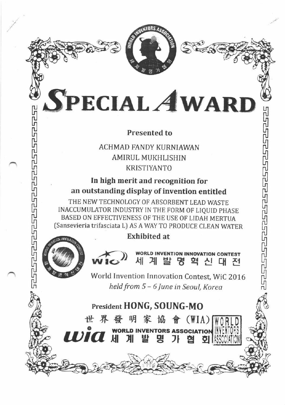

SPECIAL AWARD

ا کا

fi ru r4 ru Lη nJ ⊔η l u տ ru וע

lğ ր<br>

եր ru տ | 'tJ וע ր<br>տ

fi

ĻЛ ru īJ чη ru

## Presented to

ACHMAD FANDY KURNIAWAN AMIRUL MUKHLISHIN KRISTIYANTO

In high merit and recognition for an outstanding display of invention entitled

THE NEW TECHNOLOGY OF ABSORBENT LEAD WASTE INACCUMULATOR INDUSTRY IN THE FORM OF LIQUID PHASE BASED ON EFFECTIVENESS OF THE USE OF LIDAH MERTUA (Sansevieria trifasciata L) AS A WAY TO PRODUCE CLEAN WATER

## . Exhibited at



**IDIQ** M

./

ru uη

ĻП l.<br>U ru υη lñ

il

n<br>Fi

.

lğ ru տ r<br>G

l'uln

 $\boldsymbol{M}$  계 발 명 혁 신 대 전 **VORLD INVENTION INNOVATION CONTEST** 

 $\frac{1}{2}$ World Invention Innovation Contest, WiC 2016 held from 5 - 6 June in Seoul, Korea

**D INVENTORS ASSOCIATION** 

Эł

여

σı

몃

President HONG, SOUNG-MO

世界發明家協會(WIA)

발

川